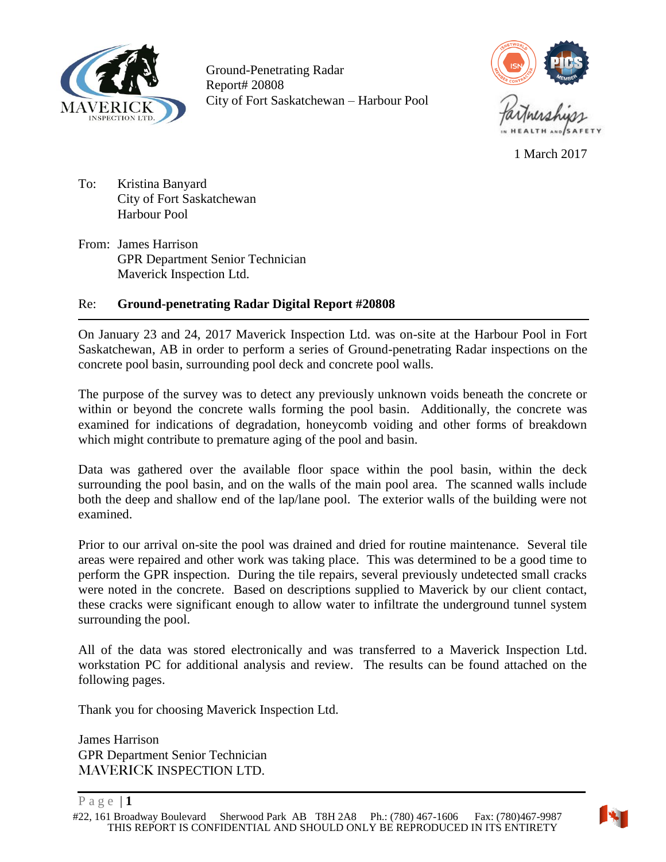



1 March 2017

<span id="page-0-0"></span>To: Kristina Banyard City of Fort Saskatchewan Harbour Pool

From: James Harrison GPR Department Senior Technician Maverick Inspection Ltd.

## Re: **Ground-penetrating Radar Digital Report #20808**

On January 23 and 24, 2017 Maverick Inspection Ltd. was on-site at the Harbour Pool in Fort Saskatchewan, AB in order to perform a series of Ground-penetrating Radar inspections on the concrete pool basin, surrounding pool deck and concrete pool walls.

The purpose of the survey was to detect any previously unknown voids beneath the concrete or within or beyond the concrete walls forming the pool basin. Additionally, the concrete was examined for indications of degradation, honeycomb voiding and other forms of breakdown which might contribute to premature aging of the pool and basin.

Data was gathered over the available floor space within the pool basin, within the deck surrounding the pool basin, and on the walls of the main pool area. The scanned walls include both the deep and shallow end of the lap/lane pool. The exterior walls of the building were not examined.

Prior to our arrival on-site the pool was drained and dried for routine maintenance. Several tile areas were repaired and other work was taking place. This was determined to be a good time to perform the GPR inspection. During the tile repairs, several previously undetected small cracks were noted in the concrete. Based on descriptions supplied to Maverick by our client contact, these cracks were significant enough to allow water to infiltrate the underground tunnel system surrounding the pool.

All of the data was stored electronically and was transferred to a Maverick Inspection Ltd. workstation PC for additional analysis and review. The results can be found attached on the following pages.

Thank you for choosing Maverick Inspection Ltd.

James Harrison GPR Department Senior Technician MAVERICK INSPECTION LTD.

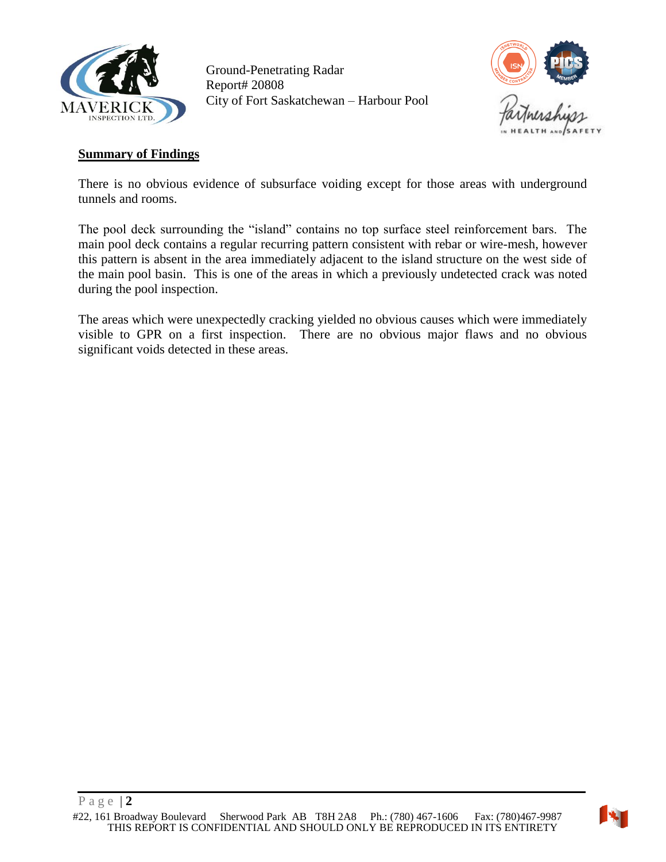



#### <span id="page-1-0"></span>**Summary of Findings**

There is no obvious evidence of subsurface voiding except for those areas with underground tunnels and rooms.

The pool deck surrounding the "island" contains no top surface steel reinforcement bars. The main pool deck contains a regular recurring pattern consistent with rebar or wire-mesh, however this pattern is absent in the area immediately adjacent to the island structure on the west side of the main pool basin. This is one of the areas in which a previously undetected crack was noted during the pool inspection.

The areas which were unexpectedly cracking yielded no obvious causes which were immediately visible to GPR on a first inspection. There are no obvious major flaws and no obvious significant voids detected in these areas.

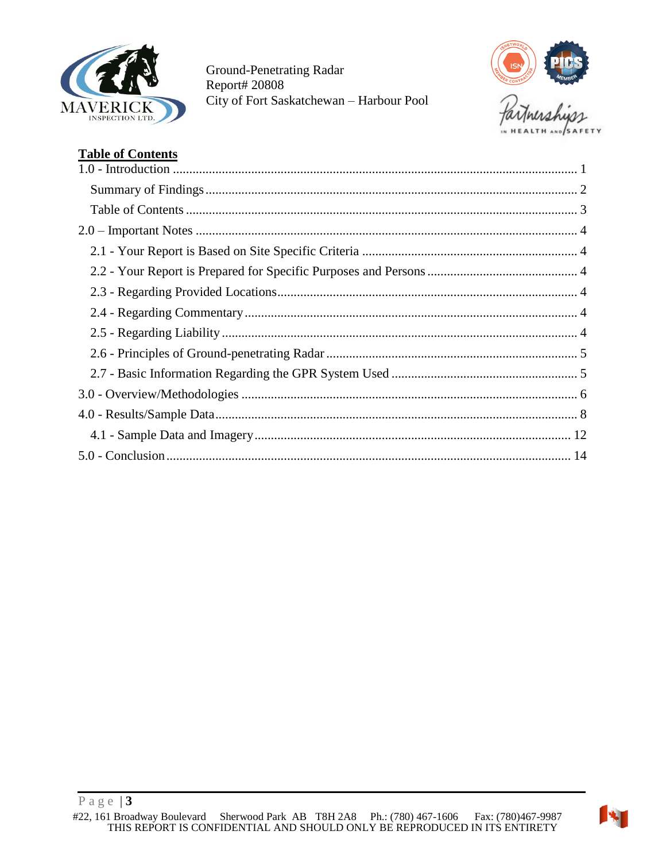



# <span id="page-2-0"></span>**Table of Contents**

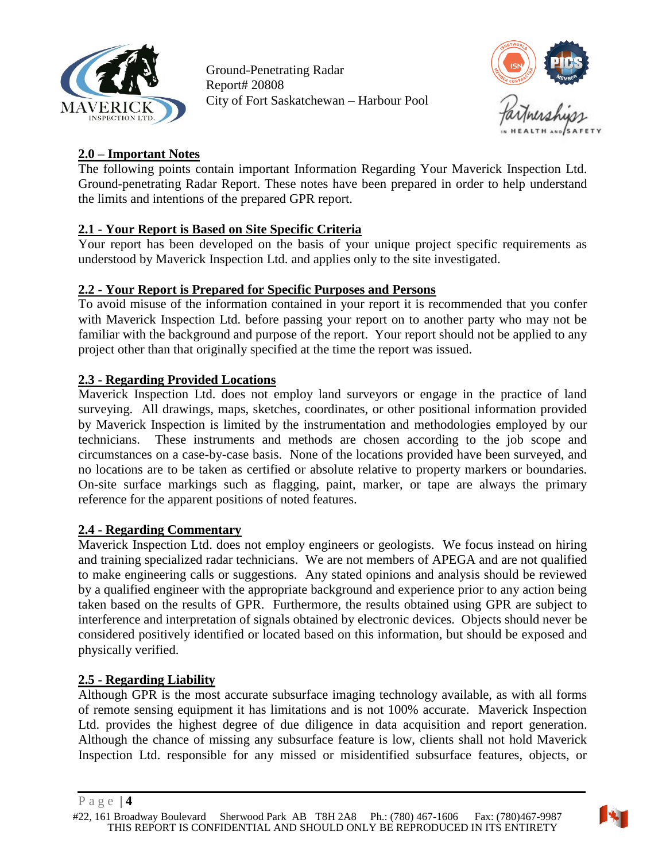



## <span id="page-3-0"></span>**2.0 – Important Notes**

The following points contain important Information Regarding Your Maverick Inspection Ltd. Ground-penetrating Radar Report. These notes have been prepared in order to help understand the limits and intentions of the prepared GPR report.

## <span id="page-3-1"></span>**2.1 - Your Report is Based on Site Specific Criteria**

Your report has been developed on the basis of your unique project specific requirements as understood by Maverick Inspection Ltd. and applies only to the site investigated.

## <span id="page-3-2"></span>**2.2 - Your Report is Prepared for Specific Purposes and Persons**

To avoid misuse of the information contained in your report it is recommended that you confer with Maverick Inspection Ltd. before passing your report on to another party who may not be familiar with the background and purpose of the report. Your report should not be applied to any project other than that originally specified at the time the report was issued.

## <span id="page-3-3"></span>**2.3 - Regarding Provided Locations**

Maverick Inspection Ltd. does not employ land surveyors or engage in the practice of land surveying. All drawings, maps, sketches, coordinates, or other positional information provided by Maverick Inspection is limited by the instrumentation and methodologies employed by our technicians. These instruments and methods are chosen according to the job scope and circumstances on a case-by-case basis. None of the locations provided have been surveyed, and no locations are to be taken as certified or absolute relative to property markers or boundaries. On-site surface markings such as flagging, paint, marker, or tape are always the primary reference for the apparent positions of noted features.

### <span id="page-3-4"></span>**2.4 - Regarding Commentary**

Maverick Inspection Ltd. does not employ engineers or geologists. We focus instead on hiring and training specialized radar technicians. We are not members of APEGA and are not qualified to make engineering calls or suggestions. Any stated opinions and analysis should be reviewed by a qualified engineer with the appropriate background and experience prior to any action being taken based on the results of GPR. Furthermore, the results obtained using GPR are subject to interference and interpretation of signals obtained by electronic devices. Objects should never be considered positively identified or located based on this information, but should be exposed and physically verified.

### <span id="page-3-5"></span>**2.5 - Regarding Liability**

Although GPR is the most accurate subsurface imaging technology available, as with all forms of remote sensing equipment it has limitations and is not 100% accurate. Maverick Inspection Ltd. provides the highest degree of due diligence in data acquisition and report generation. Although the chance of missing any subsurface feature is low, clients shall not hold Maverick Inspection Ltd. responsible for any missed or misidentified subsurface features, objects, or



P a g e | **4**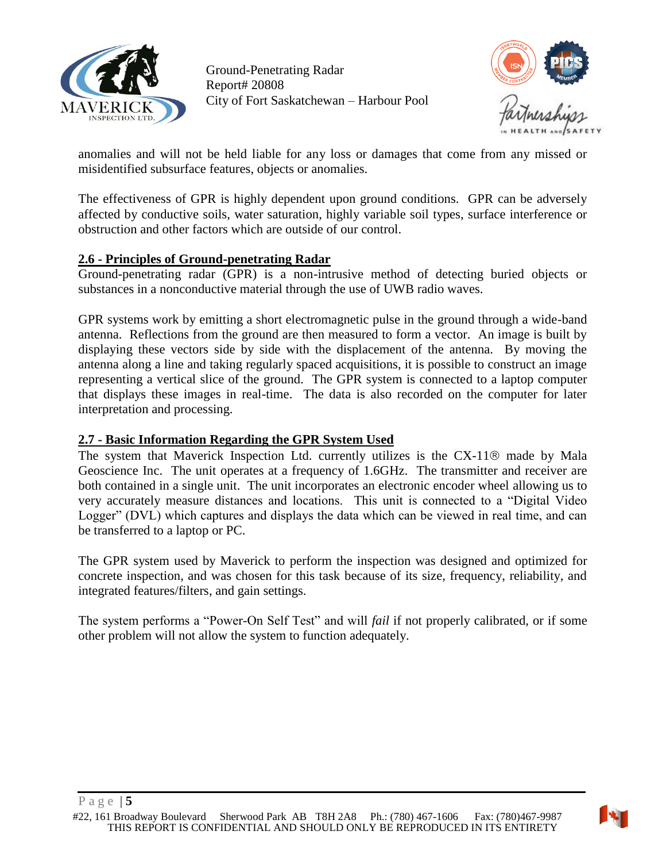



anomalies and will not be held liable for any loss or damages that come from any missed or misidentified subsurface features, objects or anomalies.

The effectiveness of GPR is highly dependent upon ground conditions. GPR can be adversely affected by conductive soils, water saturation, highly variable soil types, surface interference or obstruction and other factors which are outside of our control.

#### <span id="page-4-0"></span>**2.6 - Principles of Ground-penetrating Radar**

Ground-penetrating radar (GPR) is a non-intrusive method of detecting buried objects or substances in a nonconductive material through the use of UWB radio waves.

GPR systems work by emitting a short electromagnetic pulse in the ground through a wide-band antenna. Reflections from the ground are then measured to form a vector. An image is built by displaying these vectors side by side with the displacement of the antenna. By moving the antenna along a line and taking regularly spaced acquisitions, it is possible to construct an image representing a vertical slice of the ground. The GPR system is connected to a laptop computer that displays these images in real-time. The data is also recorded on the computer for later interpretation and processing.

### <span id="page-4-1"></span>**2.7 - Basic Information Regarding the GPR System Used**

The system that Maverick Inspection Ltd. currently utilizes is the  $CX-11@$  made by Mala Geoscience Inc. The unit operates at a frequency of 1.6GHz. The transmitter and receiver are both contained in a single unit. The unit incorporates an electronic encoder wheel allowing us to very accurately measure distances and locations. This unit is connected to a "Digital Video Logger" (DVL) which captures and displays the data which can be viewed in real time, and can be transferred to a laptop or PC.

The GPR system used by Maverick to perform the inspection was designed and optimized for concrete inspection, and was chosen for this task because of its size, frequency, reliability, and integrated features/filters, and gain settings.

The system performs a "Power-On Self Test" and will *fail* if not properly calibrated, or if some other problem will not allow the system to function adequately.

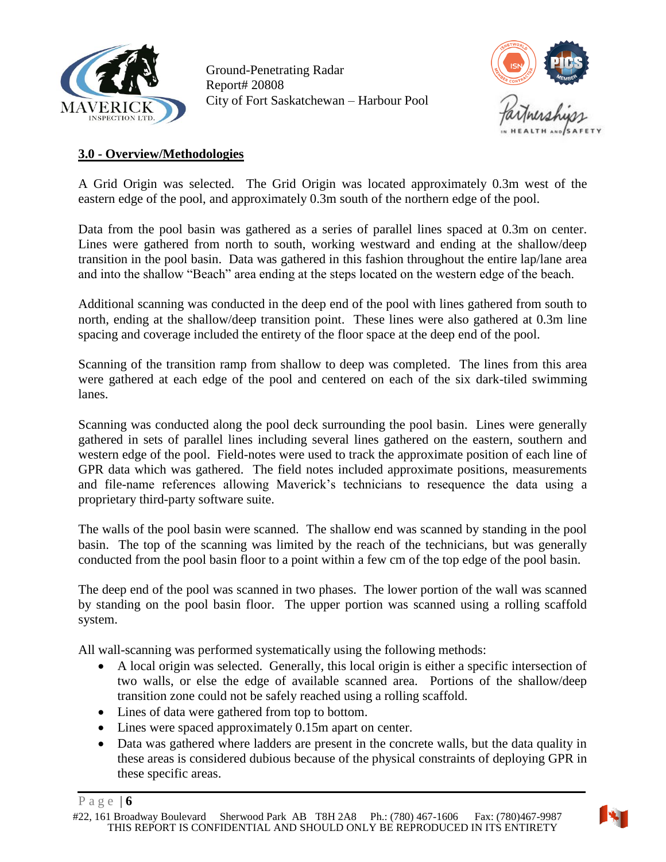



### <span id="page-5-0"></span>**3.0 - Overview/Methodologies**

A Grid Origin was selected. The Grid Origin was located approximately 0.3m west of the eastern edge of the pool, and approximately 0.3m south of the northern edge of the pool.

Data from the pool basin was gathered as a series of parallel lines spaced at 0.3m on center. Lines were gathered from north to south, working westward and ending at the shallow/deep transition in the pool basin. Data was gathered in this fashion throughout the entire lap/lane area and into the shallow "Beach" area ending at the steps located on the western edge of the beach.

Additional scanning was conducted in the deep end of the pool with lines gathered from south to north, ending at the shallow/deep transition point. These lines were also gathered at 0.3m line spacing and coverage included the entirety of the floor space at the deep end of the pool.

Scanning of the transition ramp from shallow to deep was completed. The lines from this area were gathered at each edge of the pool and centered on each of the six dark-tiled swimming lanes.

Scanning was conducted along the pool deck surrounding the pool basin. Lines were generally gathered in sets of parallel lines including several lines gathered on the eastern, southern and western edge of the pool. Field-notes were used to track the approximate position of each line of GPR data which was gathered. The field notes included approximate positions, measurements and file-name references allowing Maverick's technicians to resequence the data using a proprietary third-party software suite.

The walls of the pool basin were scanned. The shallow end was scanned by standing in the pool basin. The top of the scanning was limited by the reach of the technicians, but was generally conducted from the pool basin floor to a point within a few cm of the top edge of the pool basin.

The deep end of the pool was scanned in two phases. The lower portion of the wall was scanned by standing on the pool basin floor. The upper portion was scanned using a rolling scaffold system.

All wall-scanning was performed systematically using the following methods:

- A local origin was selected. Generally, this local origin is either a specific intersection of two walls, or else the edge of available scanned area. Portions of the shallow/deep transition zone could not be safely reached using a rolling scaffold.
- Lines of data were gathered from top to bottom.
- Lines were spaced approximately 0.15m apart on center.
- Data was gathered where ladders are present in the concrete walls, but the data quality in these areas is considered dubious because of the physical constraints of deploying GPR in these specific areas.



P a g e | **6**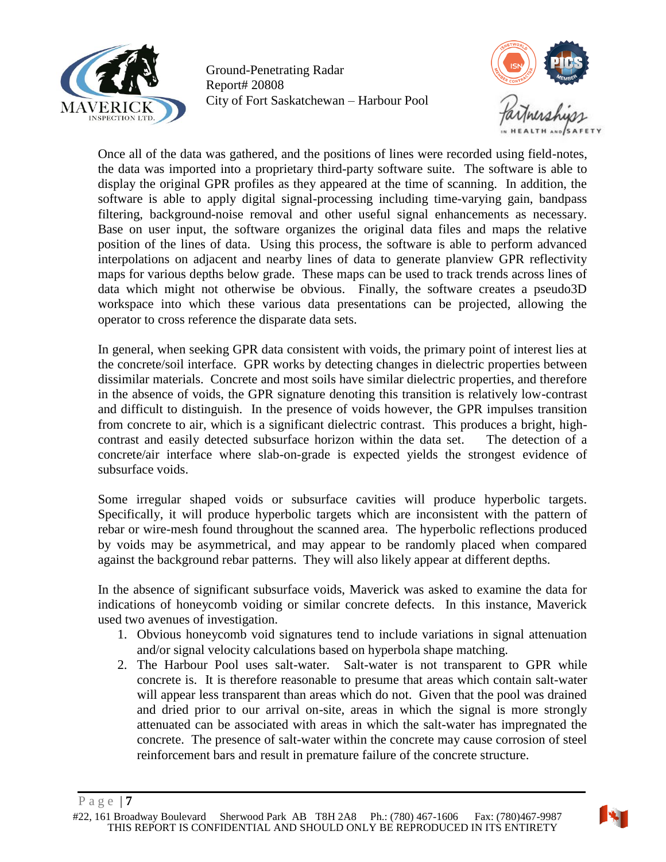

Ground-Penetrating Radar Report# 20808 City of Fort Saskatchewan – Harbour Pool



Once all of the data was gathered, and the positions of lines were recorded using field-notes, the data was imported into a proprietary third-party software suite. The software is able to display the original GPR profiles as they appeared at the time of scanning. In addition, the software is able to apply digital signal-processing including time-varying gain, bandpass filtering, background-noise removal and other useful signal enhancements as necessary. Base on user input, the software organizes the original data files and maps the relative position of the lines of data. Using this process, the software is able to perform advanced interpolations on adjacent and nearby lines of data to generate planview GPR reflectivity maps for various depths below grade. These maps can be used to track trends across lines of data which might not otherwise be obvious. Finally, the software creates a pseudo3D workspace into which these various data presentations can be projected, allowing the operator to cross reference the disparate data sets.

In general, when seeking GPR data consistent with voids, the primary point of interest lies at the concrete/soil interface. GPR works by detecting changes in dielectric properties between dissimilar materials. Concrete and most soils have similar dielectric properties, and therefore in the absence of voids, the GPR signature denoting this transition is relatively low-contrast and difficult to distinguish. In the presence of voids however, the GPR impulses transition from concrete to air, which is a significant dielectric contrast. This produces a bright, highcontrast and easily detected subsurface horizon within the data set. The detection of a concrete/air interface where slab-on-grade is expected yields the strongest evidence of subsurface voids.

Some irregular shaped voids or subsurface cavities will produce hyperbolic targets. Specifically, it will produce hyperbolic targets which are inconsistent with the pattern of rebar or wire-mesh found throughout the scanned area. The hyperbolic reflections produced by voids may be asymmetrical, and may appear to be randomly placed when compared against the background rebar patterns. They will also likely appear at different depths.

In the absence of significant subsurface voids, Maverick was asked to examine the data for indications of honeycomb voiding or similar concrete defects. In this instance, Maverick used two avenues of investigation.

- 1. Obvious honeycomb void signatures tend to include variations in signal attenuation and/or signal velocity calculations based on hyperbola shape matching.
- 2. The Harbour Pool uses salt-water. Salt-water is not transparent to GPR while concrete is. It is therefore reasonable to presume that areas which contain salt-water will appear less transparent than areas which do not. Given that the pool was drained and dried prior to our arrival on-site, areas in which the signal is more strongly attenuated can be associated with areas in which the salt-water has impregnated the concrete. The presence of salt-water within the concrete may cause corrosion of steel reinforcement bars and result in premature failure of the concrete structure.

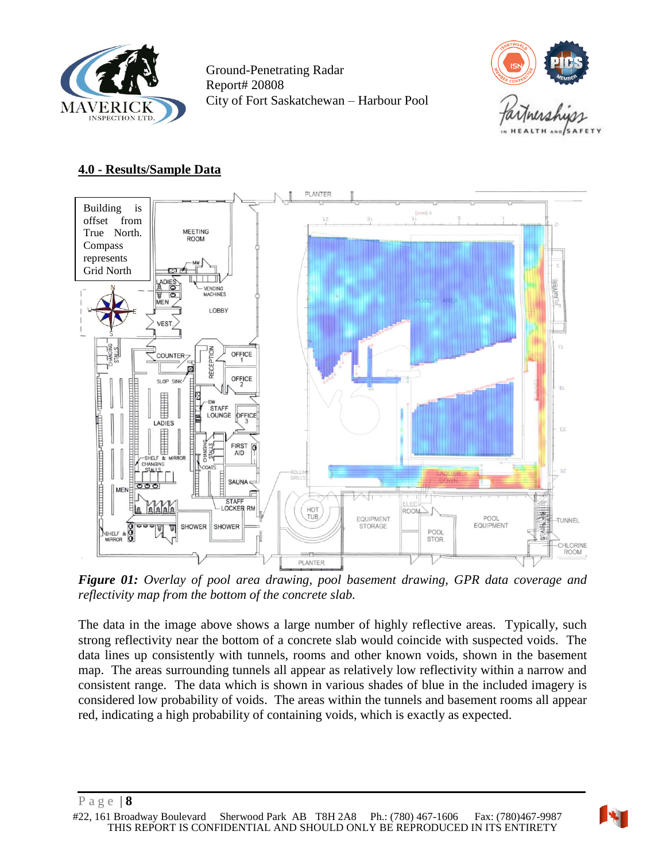



### <span id="page-7-0"></span>**4.0 - Results/Sample Data**



*Figure 01: Overlay of pool area drawing, pool basement drawing, GPR data coverage and reflectivity map from the bottom of the concrete slab.*

The data in the image above shows a large number of highly reflective areas. Typically, such strong reflectivity near the bottom of a concrete slab would coincide with suspected voids. The data lines up consistently with tunnels, rooms and other known voids, shown in the basement map. The areas surrounding tunnels all appear as relatively low reflectivity within a narrow and consistent range. The data which is shown in various shades of blue in the included imagery is considered low probability of voids. The areas within the tunnels and basement rooms all appear red, indicating a high probability of containing voids, which is exactly as expected.

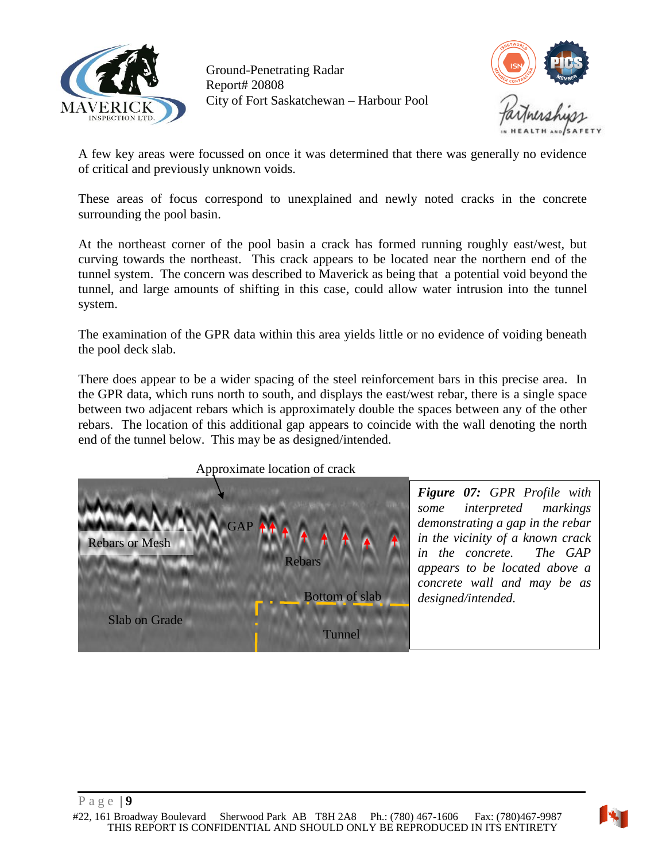



A few key areas were focussed on once it was determined that there was generally no evidence of critical and previously unknown voids.

These areas of focus correspond to unexplained and newly noted cracks in the concrete surrounding the pool basin.

At the northeast corner of the pool basin a crack has formed running roughly east/west, but curving towards the northeast. This crack appears to be located near the northern end of the tunnel system. The concern was described to Maverick as being that a potential void beyond the tunnel, and large amounts of shifting in this case, could allow water intrusion into the tunnel system.

The examination of the GPR data within this area yields little or no evidence of voiding beneath the pool deck slab.

There does appear to be a wider spacing of the steel reinforcement bars in this precise area. In the GPR data, which runs north to south, and displays the east/west rebar, there is a single space between two adjacent rebars which is approximately double the spaces between any of the other rebars. The location of this additional gap appears to coincide with the wall denoting the north end of the tunnel below. This may be as designed/intended.





*Figure 07: GPR Profile with some interpreted markings demonstrating a gap in the rebar in the vicinity of a known crack in the concrete. The GAP appears to be located above a concrete wall and may be as designed/intended.*

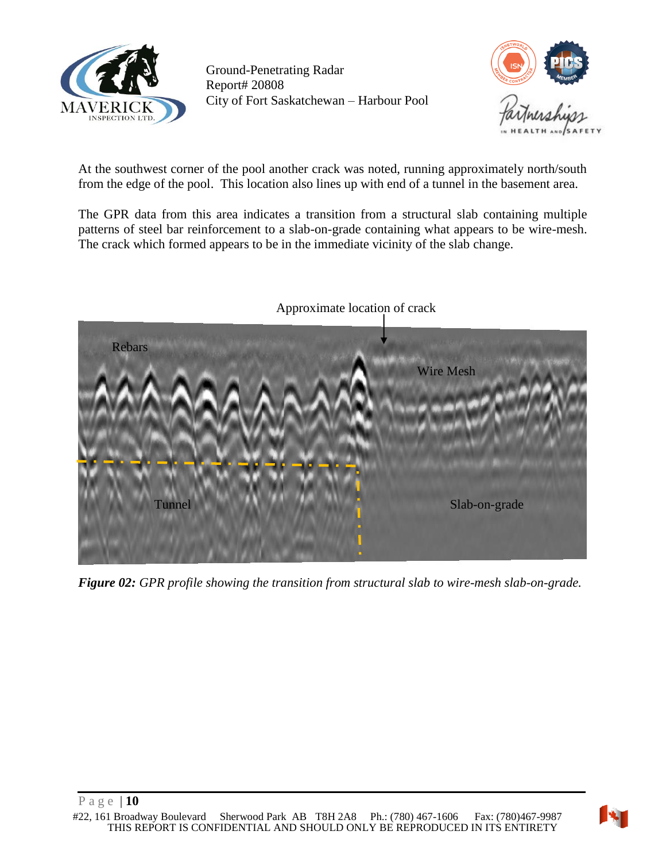



At the southwest corner of the pool another crack was noted, running approximately north/south from the edge of the pool. This location also lines up with end of a tunnel in the basement area.

The GPR data from this area indicates a transition from a structural slab containing multiple patterns of steel bar reinforcement to a slab-on-grade containing what appears to be wire-mesh. The crack which formed appears to be in the immediate vicinity of the slab change.



*Figure 02: GPR profile showing the transition from structural slab to wire-mesh slab-on-grade.*

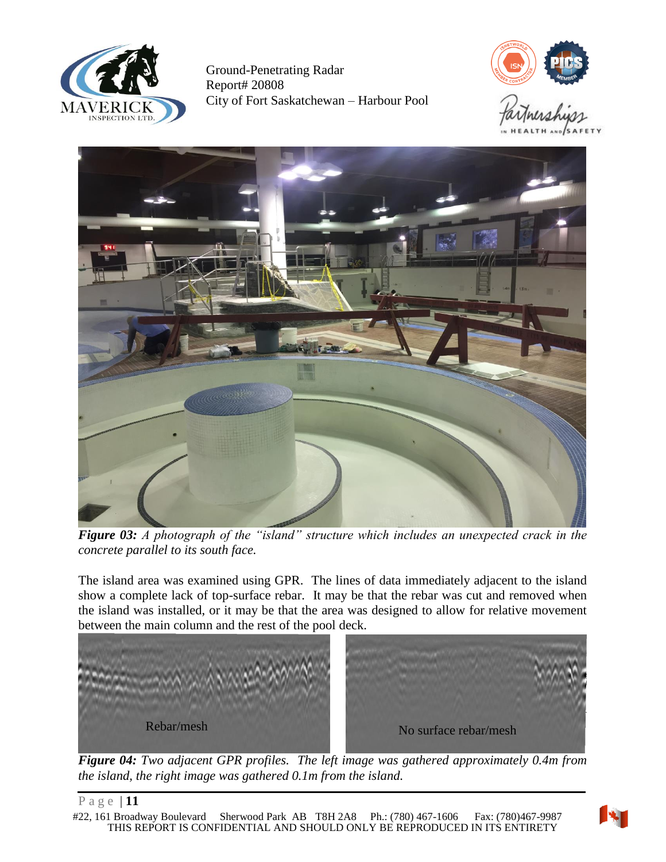





*Figure 03: A photograph of the "island" structure which includes an unexpected crack in the concrete parallel to its south face.*

The island area was examined using GPR. The lines of data immediately adjacent to the island show a complete lack of top-surface rebar. It may be that the rebar was cut and removed when the island was installed, or it may be that the area was designed to allow for relative movement between the main column and the rest of the pool deck.



*Figure 04: Two adjacent GPR profiles. The left image was gathered approximately 0.4m from the island, the right image was gathered 0.1m from the island.*

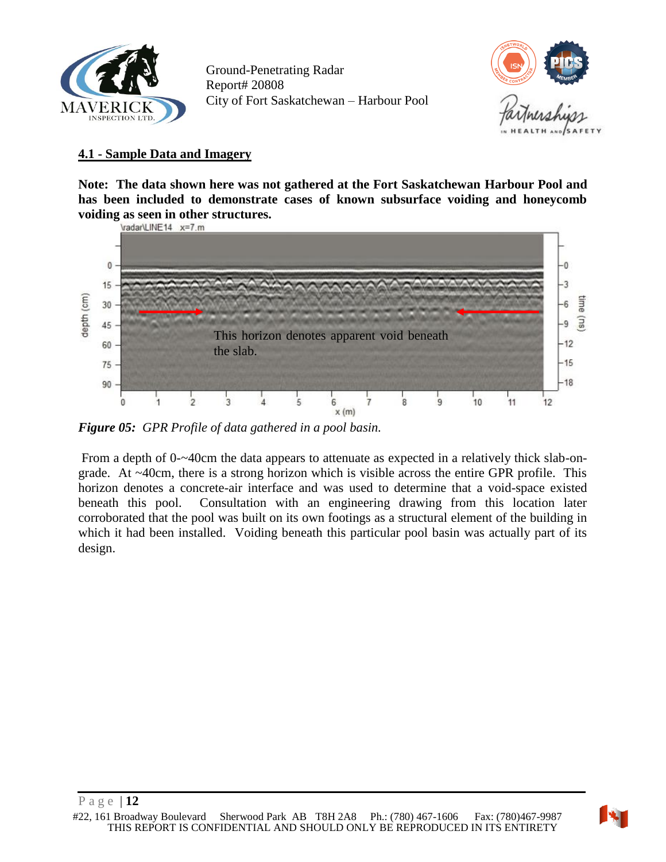



### <span id="page-11-0"></span>**4.1 - Sample Data and Imagery**

**Note: The data shown here was not gathered at the Fort Saskatchewan Harbour Pool and has been included to demonstrate cases of known subsurface voiding and honeycomb voiding as seen in other structures.**



*Figure 05: GPR Profile of data gathered in a pool basin.*

From a depth of 0-~40cm the data appears to attenuate as expected in a relatively thick slab-ongrade. At ~40cm, there is a strong horizon which is visible across the entire GPR profile. This horizon denotes a concrete-air interface and was used to determine that a void-space existed beneath this pool. Consultation with an engineering drawing from this location later corroborated that the pool was built on its own footings as a structural element of the building in which it had been installed. Voiding beneath this particular pool basin was actually part of its design.

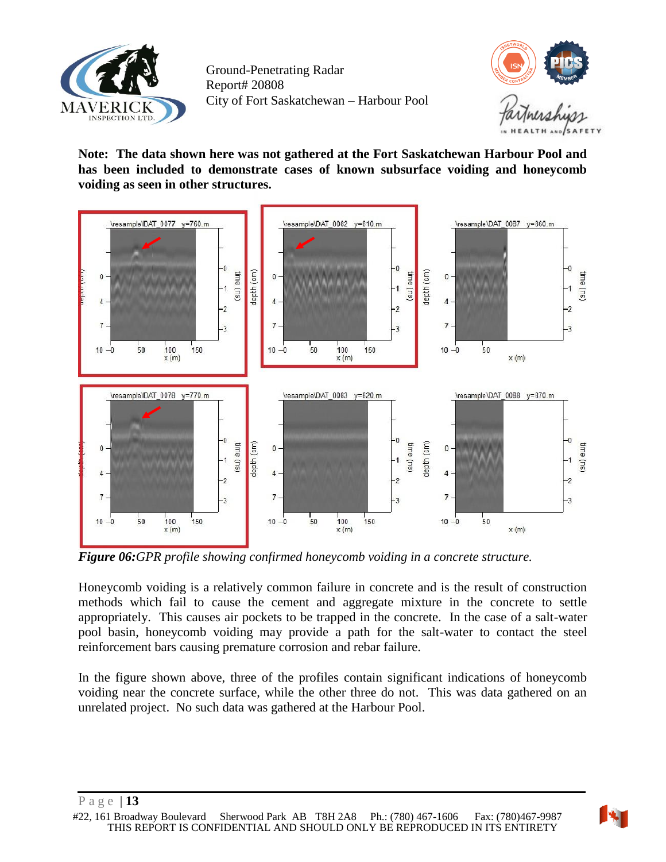



**Note: The data shown here was not gathered at the Fort Saskatchewan Harbour Pool and has been included to demonstrate cases of known subsurface voiding and honeycomb voiding as seen in other structures.**



*Figure 06:GPR profile showing confirmed honeycomb voiding in a concrete structure.*

Honeycomb voiding is a relatively common failure in concrete and is the result of construction methods which fail to cause the cement and aggregate mixture in the concrete to settle appropriately. This causes air pockets to be trapped in the concrete. In the case of a salt-water pool basin, honeycomb voiding may provide a path for the salt-water to contact the steel reinforcement bars causing premature corrosion and rebar failure.

In the figure shown above, three of the profiles contain significant indications of honeycomb voiding near the concrete surface, while the other three do not. This was data gathered on an unrelated project. No such data was gathered at the Harbour Pool.